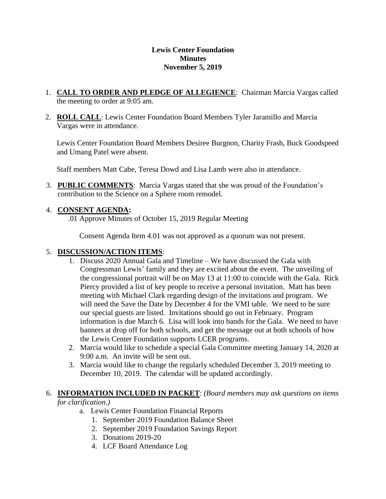#### **Lewis Center Foundation Minutes November 5, 2019**

- 1. **CALL TO ORDER AND PLEDGE OF ALLEGIENCE**: Chairman Marcia Vargas called the meeting to order at 9:05 am.
- 2. **ROLL CALL**: Lewis Center Foundation Board Members Tyler Jaramillo and Marcia Vargas were in attendance.

Lewis Center Foundation Board Members Desiree Burgnon, Charity Frash, Buck Goodspeed and Umang Patel were absent.

Staff members Matt Cabe, Teresa Dowd and Lisa Lamb were also in attendance.

3. **PUBLIC COMMENTS**: Marcia Vargas stated that she was proud of the Foundation's contribution to the Science on a Sphere room remodel.

# 4. **CONSENT AGENDA:**

.01 Approve Minutes of October 15, 2019 Regular Meeting

Consent Agenda Item 4.01 was not approved as a quorum was not present.

# 5. **DISCUSSION/ACTION ITEMS**:

- 1. Discuss 2020 Annual Gala and Timeline We have discussed the Gala with Congressman Lewis' family and they are excited about the event. The unveiling of the congressional portrait will be on May 13 at 11:00 to coincide with the Gala. Rick Piercy provided a list of key people to receive a personal invitation. Matt has been meeting with Michael Clark regarding design of the invitations and program. We will need the Save the Date by December 4 for the VMI table. We need to be sure our special guests are listed. Invitations should go out in February. Program information is due March 6. Lisa will look into bands for the Gala. We need to have banners at drop off for both schools, and get the message out at both schools of how the Lewis Center Foundation supports LCER programs.
- 2. Marcia would like to schedule a special Gala Committee meeting January 14, 2020 at 9:00 a.m. An invite will be sent out.
- 3. Marcia would like to change the regularly scheduled December 3, 2019 meeting to December 10, 2019. The calendar will be updated accordingly.

### 6. **INFORMATION INCLUDED IN PACKET**: *(Board members may ask questions on items for clarification.)*

- a. Lewis Center Foundation Financial Reports
	- 1. September 2019 Foundation Balance Sheet
	- 2. September 2019 Foundation Savings Report
	- 3. Donations 2019-20
	- 4. LCF Board Attendance Log